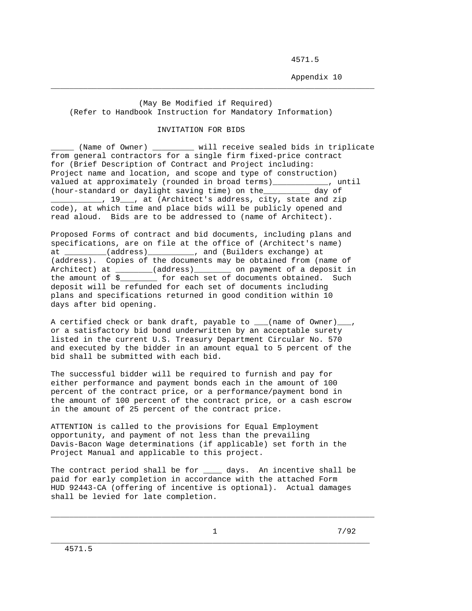4571.5

Appendix 10

 (May Be Modified if Required) (Refer to Handbook Instruction for Mandatory Information)

\_\_\_\_\_\_\_\_\_\_\_\_\_\_\_\_\_\_\_\_\_\_\_\_\_\_\_\_\_\_\_\_\_\_\_\_\_\_\_\_\_\_\_\_\_\_\_\_\_\_\_\_\_\_\_\_\_\_\_\_\_\_\_\_\_\_\_\_\_\_

## INVITATION FOR BIDS

\_\_\_\_\_ (Name of Owner) \_\_\_\_\_\_\_\_\_ will receive sealed bids in triplicate from general contractors for a single firm fixed-price contract for (Brief Description of Contract and Project including: Project name and location, and scope and type of construction) valued at approximately (rounded in broad terms)\_\_\_\_\_\_\_\_\_\_\_\_, until (hour-standard or daylight saving time) on the\_\_\_\_\_\_\_\_\_\_ day of 19 \_\_\_\_, at (Architect's address, city, state and zip code), at which time and place bids will be publicly opened and read aloud. Bids are to be addressed to (name of Architect).

Proposed Forms of contract and bid documents, including plans and specifications, are on file at the office of (Architect's name) at \_\_\_\_\_\_\_\_\_(address)\_\_\_\_\_\_\_\_\_\_, and (Builders exchange) at (address). Copies of the documents may be obtained from (name of Architect) at \_\_\_\_\_\_\_(address)\_\_\_\_\_\_\_\_ on payment of a deposit in the amount of \$\_\_\_\_\_\_\_\_ for each set of documents obtained. Such deposit will be refunded for each set of documents including plans and specifications returned in good condition within 10 days after bid opening.

A certified check or bank draft, payable to \_\_\_(name of Owner)\_\_\_, or a satisfactory bid bond underwritten by an acceptable surety listed in the current U.S. Treasury Department Circular No. 570 and executed by the bidder in an amount equal to 5 percent of the bid shall be submitted with each bid.

The successful bidder will be required to furnish and pay for either performance and payment bonds each in the amount of 100 percent of the contract price, or a performance/payment bond in the amount of 100 percent of the contract price, or a cash escrow in the amount of 25 percent of the contract price.

ATTENTION is called to the provisions for Equal Employment opportunity, and payment of not less than the prevailing Davis-Bacon Wage determinations (if applicable) set forth in the Project Manual and applicable to this project.

The contract period shall be for \_\_\_\_\_ days. An incentive shall be paid for early completion in accordance with the attached Form HUD 92443-CA (offering of incentive is optional). Actual damages shall be levied for late completion.

\_\_\_\_\_\_\_\_\_\_\_\_\_\_\_\_\_\_\_\_\_\_\_\_\_\_\_\_\_\_\_\_\_\_\_\_\_\_\_\_\_\_\_\_\_\_\_\_\_\_\_\_\_\_\_\_\_\_\_\_\_\_\_\_\_\_\_\_\_\_